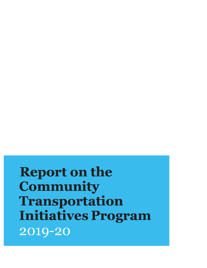**Report on the Community Transportation Initiatives Program** 2019-20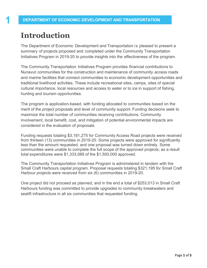# **Introduction**

The Department of Economic Development and Transportation is pleased to present a summary of projects proposed and completed under the Community Transportation Initiatives Program in 2019-20 to provide insights into the effectiveness of the program.

The Community Transportation Initiatives Program provides financial contributions to Nunavut communities for the construction and maintenance of community access roads and marine facilities that connect communities to economic development opportunities and traditional livelihood activities. These include recreational sites, camps, sites of special cultural importance, local resources and access to water or to ice in support of fishing, hunting and tourism opportunities.

The program is application-based, with funding allocated to communities based on the merit of the project proposals and level of community support. Funding decisions seek to maximize the total number of communities receiving contributions. Community involvement, local benefit, cost, and mitigation of potential environmental impacts are considered in the evaluation of proposals.

Funding requests totaling \$3,181,275 for Community Access Road projects were received from thirteen (13) communities in 2019-20. Some projects were approved for significantly less than the amount requested, and one proposal was turned down entirely. Some communities were unable to complete the full scope of the approved projects; as a result total expenditures were \$1,333,089 of the \$1,500,000 approved.

The Community Transportation Initiatives Program is administered in tandem with the Small Craft Harbours capital program. Proposal requests totaling \$321,195 for Small Craft Harbour projects were received from six (6) communities in 2019-20.

One project did not proceed as planned, and in the end a total of \$253,013 in Small Craft Harbours funding was committed to provide upgrades to community breakwaters and sealift infrastructure in all six communities that requested funding.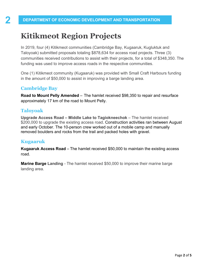# **Kitikmeot Region Projects**

In 2019, four (4) Kitikmeot communities (Cambridge Bay, Kugaaruk, Kugluktuk and Taloyoak) submitted proposals totaling \$878,634 for access road projects. Three (3) communities received contributions to assist with their projects, for a total of \$348,350. The funding was used to improve access roads in the respective communities.

One (1) Kitikmeot community (Kugaaruk) was provided with Small Craft Harbours funding in the amount of \$50,000 to assist in improving a barge landing area.

#### **Cambridge Bay**

**Road to Mount Pelly Amended** – The hamlet received \$98,350 to repair and resurface approximately 17 km of the road to Mount Pelly.

## **Taloyoak**

**Upgrade Access Road – Middle Lake to Tagiokneechok** – The hamlet received \$200,000 to upgrade the existing access road. Construction activities ran between August and early October. The 10-person crew worked out of a mobile camp and manually removed boulders and rocks from the trail and packed holes with gravel.

#### **Kugaaruk**

**Kugaaruk Access Road** – The hamlet received \$50,000 to maintain the existing access road.

**Marine Barge Landing - The hamlet received \$50,000 to improve their marine barge** landing area.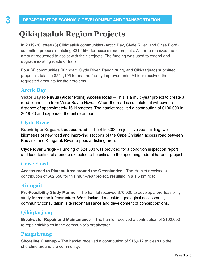# **Qikiqtaaluk Region Projects**

In 2019-20, three (3) Qikiqtaaluk communities (Arctic Bay, Clyde River, and Grise Fiord) submitted proposals totaling \$312,550 for access road projects. All three received the full amount requested to assist with their projects. The funding was used to extend and upgrade existing roads or trails.

Four (4) communities (Kinngait, Clyde River, Pangnirtung, and Qikiqtarjuaq) submitted proposals totaling \$211,195 for marine facility improvements. All four received the requested amounts for their projects.

### **Arctic Bay**

**Victor Bay to Nuvua (Victor Point) Access Road** – This is a multi-year project to create a road connection from Victor Bay to Nuvua. When the road is completed it will cover a distance of approximately 16 kilometres. The hamlet received a contribution of \$100,000 in 2019-20 and expended the entire amount.

### **Clyde River**

**Kuuviniq to Kugaaruk access road** – The \$150,000 project involved building two kilometres of new road and improving sections of the Cape Christian access road between Kuuviniq and Kuugaruk River, a popular fishing area.

**Clyde River Bridge** – Funding of \$24,583 was provided for a condition inspection report and load testing of a bridge expected to be critical to the upcoming federal harbour project.

#### **Grise Fiord**

**Access road to Plateau Area around the Greenlander** – The Hamlet received a contribution of \$62,550 for this multi-year project, resulting in a 1.5 km road.

### **Kinngait**

**Pre-Feasibility Study Marine** – The hamlet received \$70,000 to develop a pre-feasibility study for marine infrastructure. Work included a desktop geological assessment, community consultation, site reconnaissance and development of concept options.

## **Qikiqtarjuaq**

**Breakwater Repair and Maintenance** – The hamlet received a contribution of \$100,000 to repair sinkholes in the community's breakwater.

### **Pangnirtung**

**Shoreline Cleanup** – The hamlet received a contribution of \$16,612 to clean up the shoreline around the community.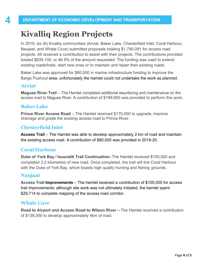# **Kivalliq Region Projects**

In 2019, six (6) Kivalliq communities (Arviat, Baker Lake, Chesterfield Inlet, Coral Harbour, Naujaat, and Whale Cove) submitted proposals totaling \$1,790,091 for access road projects. All received a contribution to assist with their projects. The contributions provided totaled \$839,100, or 46.9% of the amount requested. The funding was used to extend existing roads/trails, start new ones or to maintain and repair their existing roads.

Baker Lake was approved for \$60,000 in marine infrastructure funding to improve the Barge Pushout area, unfortunately the hamlet could not undertake the work as planned.

#### **Arviat**

**Maguse River Trail** – The Hamlet completed additional resurfacing and maintenance on the access road to Maguse River. A contribution of \$199,800 was provided to perform this work.

### **Baker Lake**

**Prince River Access Road** – The Hamlet received \$170,000 to upgrade, improve drainage and grade the existing access road to Prince River.

### **Chesterfield Inlet**

**Access Trail** – The Hamlet was able to develop approximately 2 km of road and maintain the existing access road. A contribution of \$80,000 was provided in 2019-20.

#### **Coral Harbour**

**Duke of York Bay / Isuuralik Trail Continuation**–The Hamlet received \$150,000 and completed 3.2 kilometres of new road. Once completed, the trail will link Coral Harbour with the Duke of York Bay, which boasts high quality hunting and fishing grounds.

#### **Naujaat**

**Access Trail Improvements** – The hamlet received a contribution of \$100,000 for access trail improvements; although site work was not ultimately initiated, the hamlet spent \$29,714 to complete mapping of the access road corridor.

### **Whale Cove**

**Road to Airport and Access Road to Wilson River –** The Hamlet received a contribution of \$139,300 to develop approximately 4km of road.